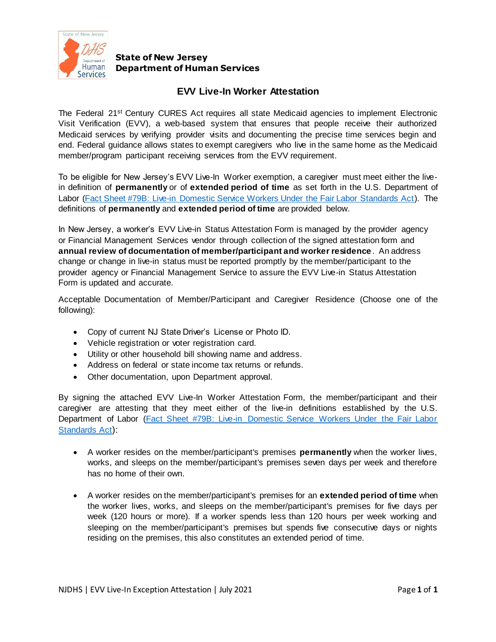

### **State of New Jersey Department of Human Services**

### **EVV Live-In Worker Attestation**

The Federal 21<sup>st</sup> Century CURES Act requires all state Medicaid agencies to implement Electronic Visit Verification (EVV), a web-based system that ensures that people receive their authorized Medicaid services by verifying provider visits and documenting the precise time services begin and end. Federal guidance allows states to exempt caregivers who live in the same home as the Medicaid member/program participant receiving services from the EVV requirement.

To be eligible for New Jersey's EVV Live-In Worker exemption, a caregiver must meet either the livein definition of **permanently** or of **extended period of time** as set forth in the U.S. Department of Labor [\(Fact Sheet #79B: Live-in Domestic Service Workers Under the Fair Labor Standards Act\)](https://www.dol.gov/agencies/whd/fact-sheets/79b-flsa-live-in-domestic-workers). The definitions of **permanently** and **extended period of time** are provided below.

In New Jersey, a worker's EVV Live-in Status Attestation Form is managed by the provider agency or Financial Management Services vendor through collection of the signed attestation form and **annual review of documentation of member/participant and worker residence** . An address change or change in live-in status must be reported promptly by the member/participant to the provider agency or Financial Management Service to assure the EVV Live-in Status Attestation Form is updated and accurate.

Acceptable Documentation of Member/Participant and Caregiver Residence (Choose one of the following):

- Copy of current NJ State Driver's License or Photo ID.
- Vehicle registration or voter registration card.
- Utility or other household bill showing name and address.
- Address on federal or state income tax returns or refunds.
- Other documentation, upon Department approval.

By signing the attached EVV Live-In Worker Attestation Form, the member/participant and their caregiver are attesting that they meet either of the live-in definitions established by the U.S. Department of Labor [\(Fact Sheet #79B: Live-in Domestic Service Workers Under the Fair Labor](https://www.dol.gov/agencies/whd/fact-sheets/79b-flsa-live-in-domestic-workers)  [Standards Act](https://www.dol.gov/agencies/whd/fact-sheets/79b-flsa-live-in-domestic-workers)):

- A worker resides on the member/participant's premises **permanently** when the worker lives, works, and sleeps on the member/participant's premises seven days per week and therefore has no home of their own.
- A worker resides on the member/participant's premises for an **extended period of time** when the worker lives, works, and sleeps on the member/participant's premises for five days per week (120 hours or more). If a worker spends less than 120 hours per week working and sleeping on the member/participant's premises but spends five consecutive days or nights residing on the premises, this also constitutes an extended period of time.